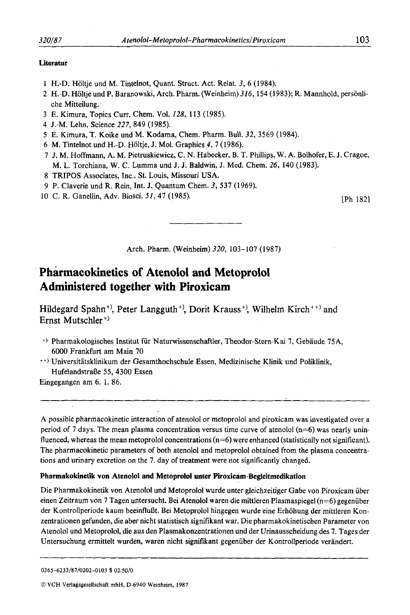### **Literatur**

- 1 H.-D. Holtje und M. Tintelnot, Quant. Struct. Act. Relat. *3,* 6 (1984).
- **2** H.-D. Holtje und P. Baranowski, Arch. Pharm. (Weinheim) 316, 154 (1983); **R.** Mannhold, personliche Mitteilung.
- 3 E. Kimura, Topics Curr. Chem. Vol. 128, 113 (1985).
- 4 J.-M. Lehn, Science *227,* 849 (1985).
- **5 E.** Kimura, T. Koike und M. Kodama, Chem. Pharm. Bull. 32,3569 (1984).
- 6 **M.** Tintelnot und H.-D. Holtje, J. Mol. Graphics 4,7 (1986).
- *I*  J. M. Hoffmann, A. M. Pietruskiewicz, C. N. Habecker, B. T. Phillips, W. A. Bolhofer, **E. J.** Cragoe, M. L. Torchiana, **W.** C. Lumma und J. **J.** Baldwin, **J.** Med. Chem. 26, 140 (1983).
- 8 TRIPOS Associates, Inc., St. Louis, Missouri USA.
- 9 P. Claverie und R. Rein, Int. J. Quantum Chem. *3,* 537 (1969).
- **10**  C. R. Ganellin, Adv. Biosci. *51,* 47 (1985). [Ph 1821

Arch. Pharm. (Weinheim) *320,* 103-107 (1987)

# **Pharmacokinetics of Atenolol and Metoprolol Administered together with Piroxicam**

Hildegard Spahn<sup>+)</sup>, Peter Langguth<sup>+)</sup>, Dorit Krauss<sup>+)</sup>, Wilhelm Kirch<sup>++)</sup> and Ernst Mutschler<sup>+)</sup>

- +) Pharmakologisches Institut fur Naturwissenschaftler, Theodor-Stern-Kai 7, Gebaude 75A, 6000 Frankfurt am Main 70
- ++) Universitatsklinikum der Gesamthochschule Essen, Medizinische Klinik und Poliklinik, Hufelandstraße 55, 4300 Essen

Eingegangen am 6. 1. 86.

A possible pharmacokinetic interaction of atenolol or metoprolol and piroxicam was investigated over a period of 7 days. The mean plasma concentration versus time curve of atenolol  $(n=6)$  was nearly uninfluenced, whereas the mean metoprolol concentrations  $(n=6)$  were enhanced (statistically not significant). The pharmacokinetic parameters of both atenolol and metoprolol obtained from the plasma concentrations and urinary excretion on the 7. day of treatment were not significantly changed.

## **Pharmakokinetik von Atenolol and Metoprolol unter Piroxicam-Begleitmedikation**

Die Pharmakokinetik von Atenolol **und** Metoprolol wurde unter gleichzeitiger Gabe von Piroxicam uber einen Zeitraum von 7 Tagen untersucht. Bei Atenolol waren die mittleren Plasmaspiegel ( $n=6$ ) gegenüber der Kontrollperiode kaum beeinflußt. Bei Metoprolol hingegen wurde eine Erhöhung der mittleren Konzentrationen gefunden, die aber nicht statistisch signifikant war. Die pharmakokinetischen Parameter von Atenolol und Metoprolol, die aus den Plasmakonzentrationen und der Urinausscheidung des 7. Tages der Untersuchung ermittelt wurden, waren nicht signifikant gegenuber der Kontrollperiode verandert.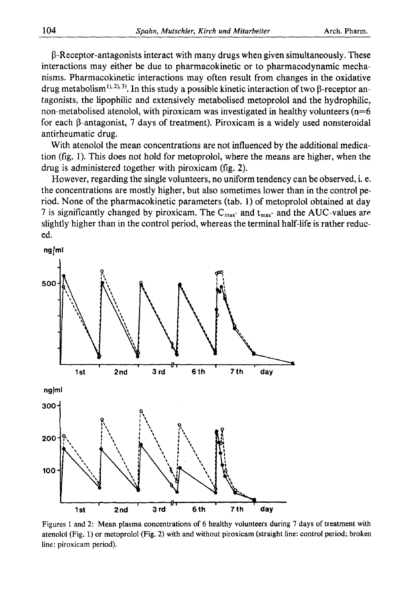P-Receptor-antagonists interact with many drugs when given simultaneously. These interactions may either be due to pharmacokinetic or to pharmacodynamic mechanisms. Pharmacokinetic interactions may often result from changes in the oxidative drug metabolism<sup>1), 2), 3)</sup>. In this study a possible kinetic interaction of two  $\beta$ -receptor antagonists, the lipophilic and extensively metabolised metoprolol and the hydrophilic, non-metabolised atenolol, with piroxicam was investigated in healthy volunteers ( $n=6$ ) for each P-antagonist, **7** days of treatment). Piroxicam is a widely used nonsteroidal antirheumatic drug.

With atenolol the mean concentrations are not influenced by the additional medication (fig. l). This does not hold for metoprolol, where the means are higher, when the drug is administered together with piroxicam (fig. **2).** 

However, regarding the single volunteers, no uniform tendency can be observed, i. e. the concentrations are mostly higher, but also sometimes lower than in the control period. None of the pharmacokinetic parameters (tab. **l)** of metoprolol obtained at day 7 is significantly changed by piroxicam. The C<sub>max</sub>- and t<sub>max</sub>- and the AUC-values are slightly higher than in the control period, whereas the terminal half-life is rather reduced.



Figures 1 and 2: Mean plasma concentrations of *6* healthy volunteers during **7** days of treatment with atenolol (Fig. 1) or metoprolol (Fig. **2)** with and without piroxicam (straight line: control period; broken line: piroxicam period).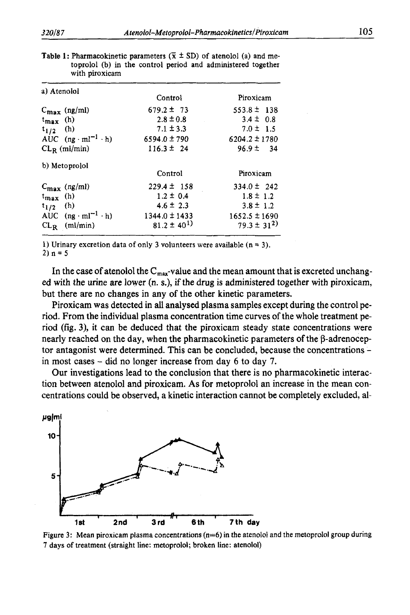| a) Atenolol                      | Control           | Piroxicam         |
|----------------------------------|-------------------|-------------------|
| $C_{\text{max}}$ (ng/ml)         | $679.2 \pm 73$    | $553.8 \pm 138$   |
| $t_{\text{max}}$ (h)             | $2.8 \pm 0.8$     | $3.4 \pm 0.8$     |
| $t_{1/2}$ (h)                    | $7.1 \pm 3.3$     | $7.0 \pm 1.5$     |
| AUC $(ng \cdot ml^{-1} \cdot h)$ | $6594.0 \pm 790$  | $6204.2 \pm 1780$ |
| $CL_R$ (ml/min)                  | $116.3 \pm 24$    | $96.9 \pm 34$     |
| b) Metoprolol                    | Control           | Piroxicam         |
| $C_{\text{max}}$ (ng/ml)         | $229.4 \pm 158$   | $334.0 \pm 242$   |
| $t_{\text{max}}$ (h)             | $1.2 \pm 0.4$     | $1.8 \pm 1.2$     |
| $t_{1/2}$ (h)                    | $4.6 \pm 2.3$     | $3.8 \pm 1.2$     |
| AUC $(ng \cdot ml^{-1} \cdot h)$ | $1344.0 \pm 1433$ | $1652.5 \pm 1690$ |
| $CL_R$ (ml/min)                  | $81.2 \pm 40^{1}$ | $79.3 \pm 31^{2}$ |

**Table 1: Pharmacokinetic parameters**  $(\bar{x} \pm SD)$  **of atenolol (a) and me**toprolol (b) in the control period and administered together with piroxicam

1) Urinary excretion data of only 3 volunteers were available  $(n = 3)$ .

2)  $n = 5$ 

In the case of atenolol the  $C_{\text{max}}$ -value and the mean amount that is excreted unchanged with the urine *are* lower (n. **s.),** if the drug is administered together with piroxicam, but there are no changes in any of the other kinetic parameters.

Piroxicam was detected in all analysed plasma samples except during the control period. From the individual plasma concentration time curves of the whole treatment period (fig. **3),** it can be deduced that the piroxicam steady state concentrations were nearly reached on the day, when the pharmacokinetic parameters of the  $\beta$ -adrenoceptor antagonist were determined. This can be concluded, because the concentrations in most cases - did no longer increase from day *6* to day **7.** 

Our investigations lead to the conclusion that there is no pharmacokinetic interaction between atenolol and piroxicam. **As** for metoprolol an increase in the mean concentrations could be observed, a kinetic interaction cannot be completely excluded, al-



Figure **3:** Mean piroxicam **plasma** concentrations (n=6) in the atenolol and the metoprolol group during 7 days of treatment (straight line: metoprolol; **broken** line: atenolol)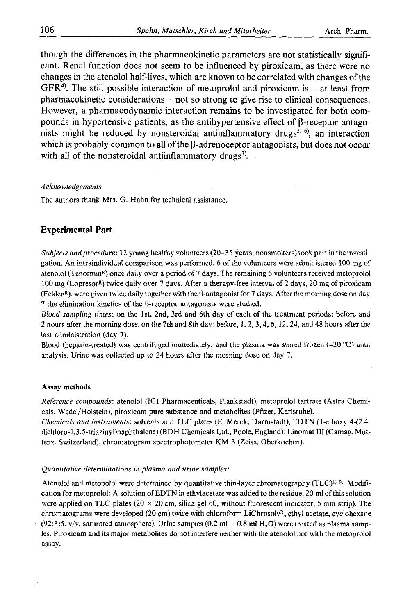though the differences in the pharmacokinetic parameters are not statistically significant. Renal function does not seem to be influenced by piroxicam, as there were no changes in the atenolol half-lives, which are known to be correlated with changes of the GFR<sup>4)</sup>. The still possible interaction of metoprolol and piroxicam is - at least from pharmacokinetic considerations - not so strong to give rise to clinical consequences. However, a pharmacodynamic interaction remains to be investigated for both compounds in hypertensive patients, as the antihypertensive effect of  $\beta$ -receptor antagonists might be reduced by nonsteroidal antiinflammatory drugs<sup>5, 6</sup>, an interaction which is probably common to all of the  $\beta$ -adrenoceptor antagonists, but does not occur with all of the nonsteroidal antiinflammatory drugs<sup>7</sup>.

### *Acknowledgements*

The authors thank Mrs. G. Hahn for technical assistance.

# **Experimental Part**

*Subjects andprocedure:* 12 young healthy volunteers (20-35 years, nonsmokers) took part in the investigation. An intraindividual comparison was performed. 6 of the volunteers were administered 100 mg of atenolol (Tenormin<sup>R</sup>) once daily over a period of 7 days. The remaining 6 volunteers received metoprolol 100 mg (LopresorR) twice daily over **7** days. After a therapy-free interval of 2 days, 20 mg of piroxicam (FeldenR), were given twice daily together with the P-antagonist for **7** days. After the morning dose on day  $7$  the elimination kinetics of the  $\beta$ -receptor antagonists were studied.

*Blood sampling times:* on the lst, 2nd, 3rd and 6th day of each of the treatment periods: before and **2** hours after the morning dose, on the 7th and 8th day: before, **I,** 2,3,4,6, 12,24, and 48 hours after the last administration (day 7).

Blood (heparin-treated) was centrifuged immediately, and the plasma was stored frozen  $(-20^{\circ}C)$  until analysis. Urine was collected **up** to 24 hours after the morning dose on day 7.

## **Assay methods**

*Reference compounds:* atenolol (ICI Pharmaceuticals, Plankstadt), metoprolol tartrate (Astra Chemicals, Wedel/Holstein), piroxicam pure substance and metabolites (Pfizer, Karlsruhe).

*Chemicals and instruments:* solvents and TLC plates (E. Merck, Darmstadt), EDTN (l-ethoxy-4-(2.4 **dichloro-1.3.5-triaziny1)naphthalene)** (BDH Chemicals Ltd., Poole, England); Linomat 111 (Camag, Muttenz, Switzerland), chromatogram spectrophotometer KM 3 (Zeiss, Oberkochen).

## *Quantitative determinations in plasma and urine samples:*

Atenolol and metopolol were determined by quantitative thin-layer chromatography (TLC)<sup>8), 9)</sup>. Modification for metoprolol: A solution of EDTN in ethylacetate was added to the residue. 20 ml of this solution were applied on TLC plates (20 **x** 20 cm, silica gel 60, without fluorescent indicator, *5* mm-strip). The chromatograms were developed (20 cm) twice with chloroform LiChrosolv<sup>R</sup>, ethyl acetate, cyclohexane  $(92:3:5, v/v,$  saturated atmosphere). Urine samples  $(0.2 \text{ ml} + 0.8 \text{ ml} H, O)$  were treated as plasma samples. Piroxicam and its major metabolites do not interfere neither with the atenolol nor with the metoprolol assay.